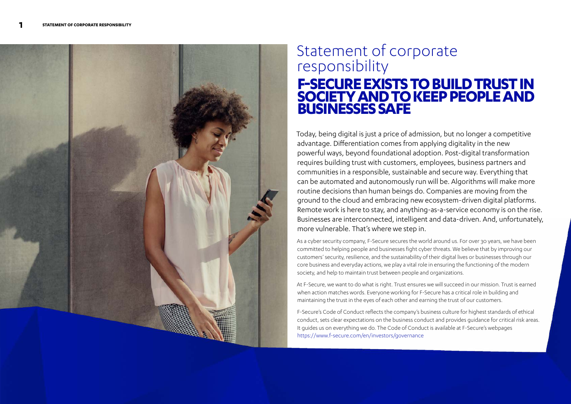

# Statement of corporate responsibility **F-SECURE EXISTS TO BUILD TRUST IN SOCIETY AND TO KEEP PEOPLE AND Busidement of corporate<br>
responsibility<br>
<b>F-SECURE EXISTS TO BUILD TRUST IN<br>
SOCIETY AND TO KEEP PEOPLE AND<br>
BUSINESSES SAFE**

Today, being digital is just a price of admission, but no longer a competitive advantage. Differentiation comes from applying digitality in the new powerful ways, beyond foundational adoption. Post-digital transformation requires building trust with customers, employees, business partners and communities in a responsible, sustainable and secure way. Everything that can be automated and autonomously run will be. Algorithms will make more routine decisions than human beings do. Companies are moving from the ground to the cloud and embracing new ecosystem-driven digital platforms. Remote work is here to stay, and anything-as-a-service economy is on the rise. Businesses are interconnected, intelligent and data-driven. And, unfortunately, more vulnerable. That's where we step in.

As a cyber security company, F-Secure secures the world around us. For over 30 years, we have been committed to helping people and businesses fight cyber threats. We believe that by improving our customers' security, resilience, and the sustainability of their digital lives or businesses through our core business and everyday actions, we play a vital role in ensuring the functioning of the modern society, and help to maintain trust between people and organizations.

At F-Secure, we want to do what is right. Trust ensures we will succeed in our mission. Trust is earned when action matches words. Everyone working for F-Secure has a critical role in building and maintaining the trust in the eyes of each other and earning the trust of our customers.

F-Secure's Code of Conduct reflects the company's business culture for highest standards of ethical conduct, sets clear expectations on the business conduct and provides guidance for critical risk areas. It guides us on everything we do. The Code of Conduct is available at F-Secure's webpages <https://www.f-secure.com/en/investors/governance>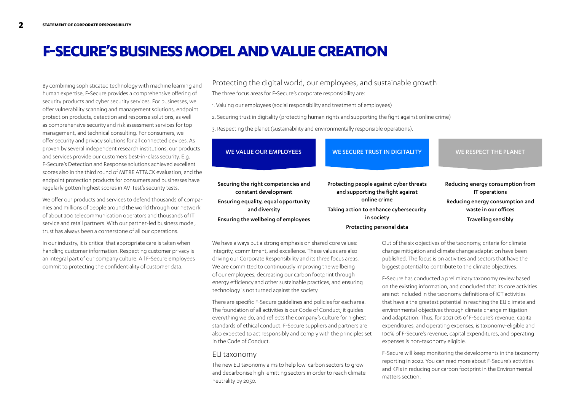# **F-SECURE'S BUSINESS MODEL AND VALUE CREATION**

By combining sophisticated technology with machine learning and human expertise, F-Secure provides a comprehensive offering of security products and cyber security services. For businesses, we offer vulnerability scanning and management solutions, endpoint protection products, detection and response solutions, as well as comprehensive security and risk assessment services for top management, and technical consulting. For consumers, we offer security and privacy solutions for all connected devices. As proven by several independent research institutions, our products and services provide our customers best-in-class security. E.g. F-Secure's Detection and Response solutions achieved excellent scores also in the third round of MITRE ATT&CK evaluation, and the endpoint protection products for consumers and businesses have regularly gotten highest scores in AV-Test's security tests.

We offer our products and services to defend thousands of companies and millions of people around the world through our network of about 200 telecommunication operators and thousands of IT service and retail partners. With our partner-led business model, trust has always been a cornerstone of all our operations.

In our industry, it is critical that appropriate care is taken when handling customer information. Respecting customer privacy is an integral part of our company culture. All F-Secure employees commit to protecting the confidentiality of customer data.

Protecting the digital world, our employees, and sustainable growth The three focus areas for F-Secure's corporate responsibility are:

1. Valuing our employees (social responsibility and treatment of employees)

2. Securing trust in digitality (protecting human rights and supporting the fight against online crime)

3. Respecting the planet (sustainability and environmentally responsible operations).

| <b>WE VALUE OUR EMPLOYEES</b>                               | <b>WE SECURE TRUST IN DIGITALITY</b>                                        | <b>WE RESPECT THE PLANET</b>                            |
|-------------------------------------------------------------|-----------------------------------------------------------------------------|---------------------------------------------------------|
| Securing the right competencies and<br>constant development | Protecting people against cyber threats<br>and supporting the fight against | Reducing energy consumption from<br>IT operations       |
| Ensuring equality, equal opportunity<br>and diversity       | online crime<br>Taking action to enhance cybersecurity                      | Reducing energy consumption and<br>waste in our offices |
| Ensuring the wellbeing of employees                         | in society                                                                  | Travelling sensibly                                     |
|                                                             | Protecting personal data                                                    |                                                         |

We have always put a strong emphasis on shared core values: integrity, commitment, and excellence. These values are also driving our Corporate Responsibility and its three focus areas. We are committed to continuously improving the wellbeing of our employees, decreasing our carbon footprint through energy efficiency and other sustainable practices, and ensuring technology is not turned against the society.

There are specific F-Secure guidelines and policies for each area. The foundation of all activities is our Code of Conduct; it guides everything we do, and reflects the company's culture for highest standards of ethical conduct. F-Secure suppliers and partners are also expected to act responsibly and comply with the principles set in the Code of Conduct.

#### EU taxonomy

The new EU taxonomy aims to help low-carbon sectors to grow and decarbonise high-emitting sectors in order to reach climate neutrality by 2050.

Out of the six objectives of the taxonomy, criteria for climate change mitigation and climate change adaptation have been published. The focus is on activities and sectors that have the biggest potential to contribute to the climate objectives.

F-Secure has conducted a preliminary taxonomy review based on the existing information, and concluded that its core activities are not included in the taxonomy definitions of ICT activities that have a the greatest potential in reaching the EU climate and environmental objectives through climate change mitigation and adaptation. Thus, for 2021 0% of F-Secure's revenue, capital expenditures, and operating expenses, is taxonomy-eligible and 100% of F-Secure's revenue, capital expenditures, and operating expenses is non-taxonomy eligible.

F-Secure will keep monitoring the developments in the taxonomy reporting in 2022. You can read more about F-Secure's activities and KPIs in reducing our carbon footprint in the Environmental matters section.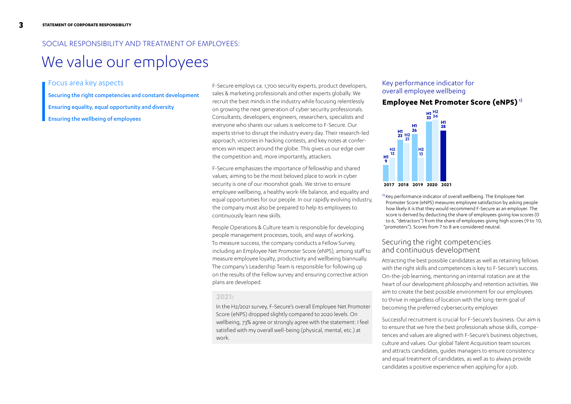# SOCIAL RESPONSIBILITY AND TREATMENT OF EMPLOYEES:

# We value our employees

### Focus area key aspects

Securing the right competencies and constant development

Ensuring equality, equal opportunity and diversity

Ensuring the wellbeing of employees

F-Secure employs ca. 1,700 security experts, product developers, sales & marketing professionals and other experts globally. We recruit the best minds in the industry while focusing relentlessly on growing the next generation of cyber security professionals. Consultants, developers, engineers, researchers, specialists and everyone who shares our values is welcome to F-Secure. Our experts strive to disrupt the industry every day. Their research-led approach, victories in hacking contests, and key notes at conferences win respect around the globe. This gives us our edge over the competition and, more importantly, attackers.

F-Secure emphasizes the importance of fellowship and shared values; aiming to be the most beloved place to work in cyber security is one of our moonshot goals. We strive to ensure employee wellbeing, a healthy work-life balance, and equality and equal opportunities for our people. In our rapidly evolving industry, the company must also be prepared to help its employees to continuously learn new skills.

People Operations & Culture team is responsible for developing people management processes, tools, and ways of working. To measure success, the company conducts a Fellow Survey, including an Employee Net Promoter Score (eNPS), among staff to measure employee loyalty, productivity and wellbeing biannually. The company's Leadership Team is responsible for following up on the results of the Fellow survey and ensuring corrective action plans are developed.

#### **2021:**

In the H2/2021 survey, F-Secure's overall Employee Net Promoter Score (eNPS) dropped slightly compared to 2020 levels. On wellbeing, 73% agree or strongly agree with the statement: I feel satisfied with my overall well-being (physical, mental, etc.) at work.

#### Key performance indicator for overall employee wellbeing

# **Employee Net Promoter Score (eNPS)** 1)



**2017 2018 2019 2020 2021**

<sup>1)</sup> Key performance indicator of overall wellbeing. The Employee Net Promoter Score (eNPS) measures employee satisfaction by asking people how likely it is that they would recommend F-Secure as an employer. The score is derived by deducting the share of employees giving low scores (0 to 6, "detractors") from the share of employees giving high scores (9 to 10, "promoters"). Scores from 7 to 8 are considered neutral.

# Securing the right competencies and continuous development

Attracting the best possible candidates as well as retaining fellows with the right skills and competences is key to F-Secure's success. On-the-job learning, mentoring an internal rotation are at the heart of our development philosophy and retention activities. We aim to create the best possible environment for our employees to thrive in regardless of location with the long-term goal of becoming the preferred cybersecurity employer.

Successful recruitment is crucial for F-Secure's business. Our aim is to ensure that we hire the best professionals whose skills, competences and values are aligned with F-Secure's business objectives, culture and values. Our global Talent Acquisition team sources and attracts candidates, guides managers to ensure consistency and equal treatment of candidates, as well as to always provide candidates a positive experience when applying for a job.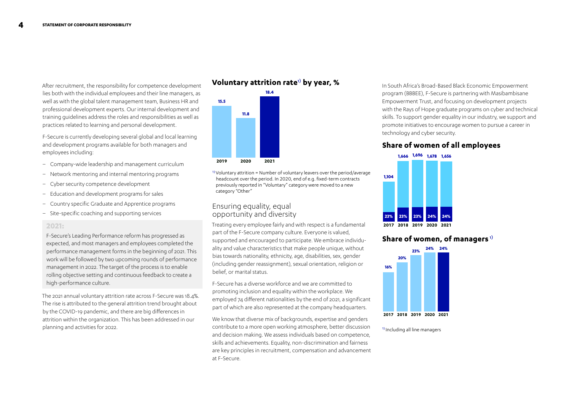After recruitment, the responsibility for competence development lies both with the individual employees and their line managers, as well as with the global talent management team, Business HR and professional development experts. Our internal development and training guidelines address the roles and responsibilities as well as practices related to learning and personal development.

F-Secure is currently developing several global and local learning and development programs available for both managers and employees including:

- Company-wide leadership and management curriculum
- Network mentoring and internal mentoring programs
- Cyber security competence development
- Education and development programs for sales
- Country specific Graduate and Apprentice programs
- Site-specific coaching and supporting services

#### **2021:**

F-Secure's Leading Performance reform has progressed as expected, and most managers and employees completed the performance management forms in the beginning of 2021. This work will be followed by two upcoming rounds of performance management in 2022. The target of the process is to enable rolling objective setting and continuous feedback to create a high-performance culture.

The 2021 annual voluntary attrition rate across F-Secure was 18.4%. The rise is attributed to the general attrition trend brought about by the COVID-19 pandemic, and there are big differences in attrition within the organization. This has been addressed in our planning and activities for 2022.

### **Voluntary attrition rate**1) **by year, %**



 $1)$  Voluntary attrition = Number of voluntary leavers over the period/average headcount over the period. In 2020, end of e.g. fixed-term contracts previously reported in "Voluntary" category were moved to a new category "Other"

#### Ensuring equality, equal opportunity and diversity

Treating every employee fairly and with respect is a fundamental part of the F-Secure company culture. Everyone is valued, supported and encouraged to participate. We embrace individuality and value characteristics that make people unique, without bias towards nationality, ethnicity, age, disabilities, sex, gender (including gender reassignment), sexual orientation, religion or belief, or marital status.

F-Secure has a diverse workforce and we are committed to promoting inclusion and equality within the workplace. We employed 74 different nationalities by the end of 2021, a significant part of which are also represented at the company headquarters.

We know that diverse mix of backgrounds, expertise and genders contribute to a more open working atmosphere, better discussion and decision making. We assess individuals based on competence, skills and achievements. Equality, non-discrimination and fairness are key principles in recruitment, compensation and advancement at F-Secure.

In South Africa's Broad-Based Black Economic Empowerment program (BBBEE), F-Secure is partnering with Masibambisane Empowerment Trust, and focusing on development projects with the Rays of Hope graduate programs on cyber and technical skills. To support gender equality in our industry, we support and promote initiatives to encourage women to pursue a career in technology and cyber security.

# **Share of women of all employees**



### **Share of women, of managers** 1)



1) Including all line managers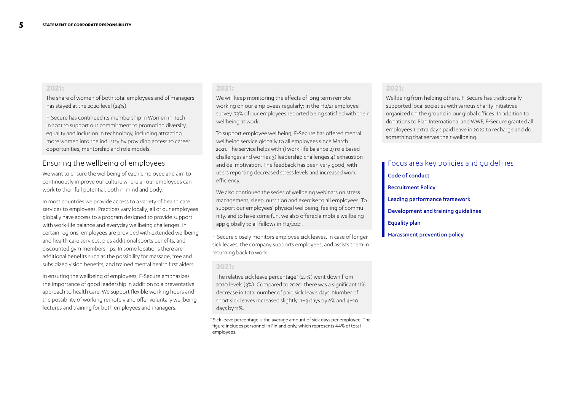#### **2021:**

The share of women of both total employees and of managers has stayed at the 2020 level (24%).

F-Secure has continued its membership in Women in Tech in 2021 to support our commitment to promoting diversity, equality and inclusion in technology, including attracting more women into the industry by providing access to career opportunities, mentorship and role models.

### Ensuring the wellbeing of employees

We want to ensure the wellbeing of each employee and aim to continuously improve our culture where all our employees can work to their full potential, both in mind and body.

In most countries we provide access to a variety of health care services to employees. Practices vary locally; all of our employees globally have access to a program designed to provide support with work-life balance and everyday wellbeing challenges. In certain regions, employees are provided with extended wellbeing and health care services, plus additional sports benefits, and discounted gym memberships. In some locations there are additional benefits such as the possibility for massage, free and subsidized vision benefits, and trained mental health first aiders.

In ensuring the wellbeing of employees, F-Secure emphasizes the importance of good leadership in addition to a preventative approach to health care. We support flexible working hours and the possibility of working remotely and offer voluntary wellbeing lectures and training for both employees and managers.

#### **2021:**

We will keep monitoring the effects of long term remote working on our employees regularly; in the H2/21 employee survey, 73% of our employees reported being satisfied with their wellbeing at work.

To support employee wellbeing, F-Secure has offered mental wellbeing service globally to all employees since March 2021. The service helps with 1) work-life balance 2) role based challenges and worries 3) leadership challenges 4) exhaustion and de-motivation. The feedback has been very good, with users reporting decreased stress levels and increased work efficiency.

We also continued the series of wellbeing webinars on stress management, sleep, nutrition and exercise to all employees. To support our employees' physical wellbeing, feeling of community, and to have some fun, we also offered a mobile wellbeing app globally to all fellows in H2/2021.

F-Secure closely monitors employee sick leaves. In case of longer sick leaves, the company supports employees, and assists them in returning back to work.

#### **2021:**

The relative sick leave percentage\* (2.1%) went down from 2020 levels (3%). Compared to 2020, there was a significant 11% decrease in total number of paid sick leave days. Number of short sick leaves increased slightly: 1–3 days by 6% and 4–10 days by 11%.

\* Sick leave percentage is the average amount of sick days per employee. The figure includes personnel in Finland only, which represents 44% of total employees.

#### **2021:**

Wellbeing from helping others. F-Secure has traditionally supported local societies with various charity initiatives organized on the ground in our global offices. In addition to donations to Plan International and WWF, F-Secure granted all employees 1 extra day's paid leave in 2022 to recharge and do something that serves their wellbeing.

# Focus area key policies and guidelines

Code of conduct Recruitment Policy Leading performance framework Development and training guidelines Equality plan Harassment prevention policy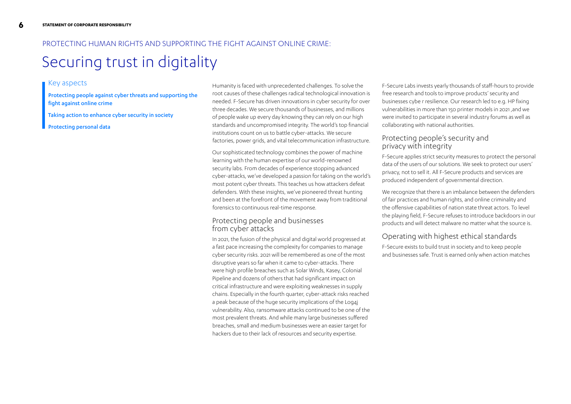# PROTECTING HUMAN RIGHTS AND SUPPORTING THE FIGHT AGAINST ONLINE CRIME:

# Securing trust in digitality

### Key aspects

Protecting people against cyber threats and supporting the fight against online crime

Taking action to enhance cyber security in society

Protecting personal data

Humanity is faced with unprecedented challenges. To solve the root causes of these challenges radical technological innovation is needed. F-Secure has driven innovations in cyber security for over three decades. We secure thousands of businesses, and millions of people wake up every day knowing they can rely on our high standards and uncompromised integrity. The world's top financial institutions count on us to battle cyber-attacks. We secure factories, power grids, and vital telecommunication infrastructure.

Our sophisticated technology combines the power of machine learning with the human expertise of our world-renowned security labs. From decades of experience stopping advanced cyber-attacks, we've developed a passion for taking on the world's most potent cyber threats. This teaches us how attackers defeat defenders. With these insights, we've pioneered threat hunting and been at the forefront of the movement away from traditional forensics to continuous real-time response.

### Protecting people and businesses from cyber attacks

In 2021, the fusion of the physical and digital world progressed at a fast pace increasing the complexity for companies to manage cyber security risks. 2021 will be remembered as one of the most disruptive years so far when it came to cyber-attacks. There were high profile breaches such as Solar Winds, Kasey, Colonial Pipeline and dozens of others that had significant impact on critical infrastructure and were exploiting weaknesses in supply chains. Especially in the fourth quarter, cyber-attack risks reached a peak because of the huge security implications of the Log4j vulnerability. Also, ransomware attacks continued to be one of the most prevalent threats. And while many large businesses suffered breaches, small and medium businesses were an easier target for hackers due to their lack of resources and security expertise.

F-Secure Labs invests yearly thousands of staff-hours to provide free research and tools to improve products' security and businesses cybe r resilience. Our research led to e.g. HP fixing vulnerabilities in more than 150 printer models in 2021 ,and we were invited to participate in several industry forums as well as collaborating with national authorities.

### Protecting people's security and privacy with integrity

F-Secure applies strict security measures to protect the personal data of the users of our solutions. We seek to protect our users' privacy, not to sell it. All F-Secure products and services are produced independent of governmental direction.

We recognize that there is an imbalance between the defenders of fair practices and human rights, and online criminality and the offensive capabilities of nation state threat actors. To level the playing field, F-Secure refuses to introduce backdoors in our products and will detect malware no matter what the source is.

# Operating with highest ethical standards

F-Secure exists to build trust in society and to keep people and businesses safe. Trust is earned only when action matches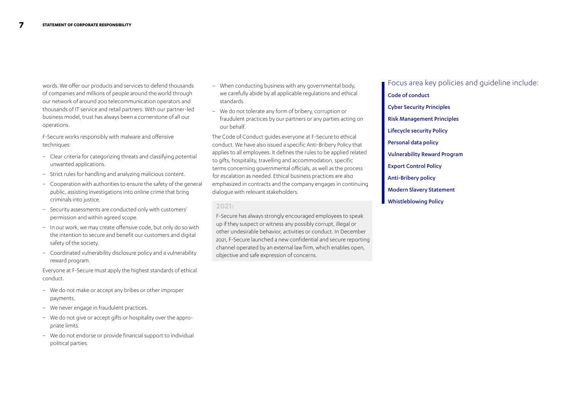words. We offer our products and services to defend thousands of companies and millions of people around the world through our network of around 200 telecommunication operators and thousands of IT service and retail partners. With our partner-led business model, trust has always been a cornerstone of all our operations.

F-Secure works responsibly with malware and offensive techniques:

- Clear criteria for categorizing threats and classifying potential unwanted applications.
- Strict rules for handling and analyzing malicious content.
- Cooperation with authorities to ensure the safety of the general public, assisting investigations into online crime that bring criminals into justice.
- Security assessments are conducted only with customers' permission and within agreed scope.
- In our work, we may create offensive code, but only do so with the intention to secure and benefit our customers and digital safety of the society.
- Coordinated vulnerability disclosure policy and a vulnerability reward program.

Everyone at F-Secure must apply the highest standards of ethical conduct.

- We do not make or accept any bribes or other improper payments.
- We never engage in fraudulent practices.
- We do not give or accept gifts or hospitality over the appropriate limits.
- We do not endorse or provide financial support to individual political parties.
- When conducting business with any governmental body, we carefully abide by all applicable regulations and ethical standards.
- We do not tolerate any form of bribery, corruption or fraudulent practices by our partners or any parties acting on our behalf.

The Code of Conduct guides everyone at F-Secure to ethical conduct. We have also issued a specific Anti-Bribery Policy that applies to all employees. It defines the rules to be applied related to gifts, hospitality, travelling and accommodation, specific terms concerning governmental officials, as well as the process for escalation as needed. Ethical business practices are also emphasized in contracts and the company engages in continuing dialogue with relevant stakeholders.

#### **2021:**

F-Secure has always strongly encouraged employees to speak up if they suspect or witness any possibly corrupt, illegal or other undesirable behavior, activities or conduct. In December 2021, F-Secure launched a new confidential and secure reporting channel operated by an external law firm, which enables open, objective and safe expression of concerns.

Focus area key policies and guideline include: Code of conduct Cyber Security Principles Risk Management Principles Lifecycle security Policy Personal data policy Vulnerability Reward Program Export Control Policy Anti-Bribery policy Modern Slavery Statement Whistleblowing Policy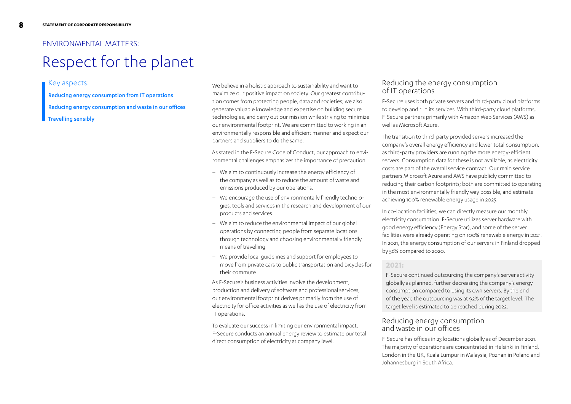# ENVIRONMENTAL MATTERS:

# Respect for the planet

#### Key aspects:

Reducing energy consumption from IT operations

Reducing energy consumption and waste in our offices

#### Travelling sensibly

We believe in a holistic approach to sustainability and want to maximize our positive impact on society. Our greatest contribution comes from protecting people, data and societies; we also generate valuable knowledge and expertise on building secure technologies, and carry out our mission while striving to minimize our environmental footprint. We are committed to working in an environmentally responsible and efficient manner and expect our partners and suppliers to do the same.

As stated in the F-Secure Code of Conduct, our approach to environmental challenges emphasizes the importance of precaution.

- We aim to continuously increase the energy efficiency of the company as well as to reduce the amount of waste and emissions produced by our operations.
- We encourage the use of environmentally friendly technologies, tools and services in the research and development of our products and services.
- We aim to reduce the environmental impact of our global operations by connecting people from separate locations through technology and choosing environmentally friendly means of travelling.
- We provide local guidelines and support for employees to move from private cars to public transportation and bicycles for their commute.

As F-Secure's business activities involve the development, production and delivery of software and professional services, our environmental footprint derives primarily from the use of electricity for office activities as well as the use of electricity from IT operations.

To evaluate our success in limiting our environmental impact, F-Secure conducts an annual energy review to estimate our total direct consumption of electricity at company level.

#### Reducing the energy consumption of IT operations

F-Secure uses both private servers and third-party cloud platforms to develop and run its services. With third-party cloud platforms, F-Secure partners primarily with Amazon Web Services (AWS) as well as Microsoft Azure.

The transition to third-party provided servers increased the company's overall energy efficiency and lower total consumption, as third-party providers are running the more energy-efficient servers. Consumption data for these is not available, as electricity costs are part of the overall service contract. Our main service partners Microsoft Azure and AWS have publicly committed to reducing their carbon footprints; both are committed to operating in the most environmentally friendly way possible, and estimate achieving 100% renewable energy usage in 2025.

In co-location facilities, we can directly measure our monthly electricity consumption. F-Secure utilizes server hardware with good energy efficiency (Energy Star), and some of the server facilities were already operating on 100% renewable energy in 2021. In 2021, the energy consumption of our servers in Finland dropped by 56% compared to 2020.

### **2021:**

F-Secure continued outsourcing the company's server activity globally as planned, further decreasing the company's energy consumption compared to using its own servers. By the end of the year, the outsourcing was at 92% of the target level. The target level is estimated to be reached during 2022.

#### Reducing energy consumption and waste in our offices

F-Secure has offices in 23 locations globally as of December 2021. The majority of operations are concentrated in Helsinki in Finland, London in the UK, Kuala Lumpur in Malaysia, Poznan in Poland and Johannesburg in South Africa.